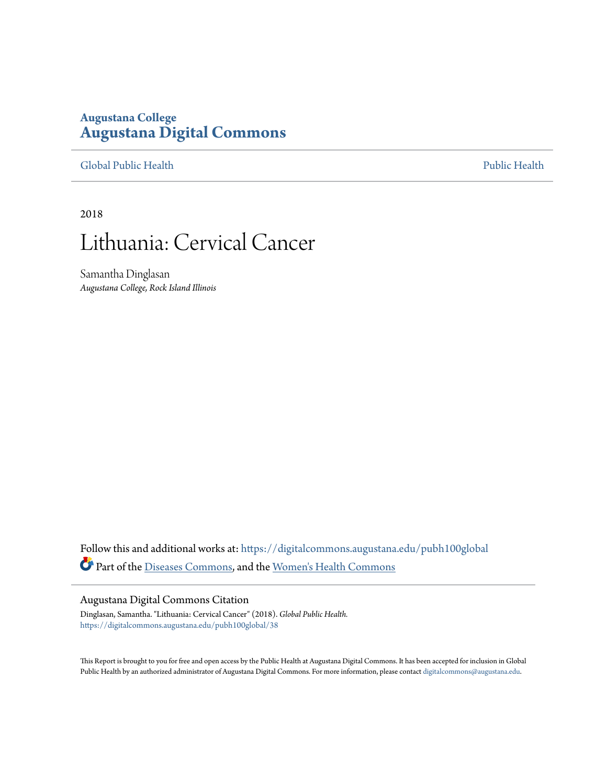## **Augustana College [Augustana Digital Commons](https://digitalcommons.augustana.edu?utm_source=digitalcommons.augustana.edu%2Fpubh100global%2F38&utm_medium=PDF&utm_campaign=PDFCoverPages)**

[Global Public Health](https://digitalcommons.augustana.edu/pubh100global?utm_source=digitalcommons.augustana.edu%2Fpubh100global%2F38&utm_medium=PDF&utm_campaign=PDFCoverPages) [Public Health](https://digitalcommons.augustana.edu/publichealth?utm_source=digitalcommons.augustana.edu%2Fpubh100global%2F38&utm_medium=PDF&utm_campaign=PDFCoverPages)

2018

# Lithuania: Cervical Cancer

Samantha Dinglasan *Augustana College, Rock Island Illinois*

Follow this and additional works at: [https://digitalcommons.augustana.edu/pubh100global](https://digitalcommons.augustana.edu/pubh100global?utm_source=digitalcommons.augustana.edu%2Fpubh100global%2F38&utm_medium=PDF&utm_campaign=PDFCoverPages) Part of the [Diseases Commons](http://network.bepress.com/hgg/discipline/813?utm_source=digitalcommons.augustana.edu%2Fpubh100global%2F38&utm_medium=PDF&utm_campaign=PDFCoverPages), and the [Women's Health Commons](http://network.bepress.com/hgg/discipline/1241?utm_source=digitalcommons.augustana.edu%2Fpubh100global%2F38&utm_medium=PDF&utm_campaign=PDFCoverPages)

#### Augustana Digital Commons Citation

Dinglasan, Samantha. "Lithuania: Cervical Cancer" (2018). *Global Public Health.* [https://digitalcommons.augustana.edu/pubh100global/38](https://digitalcommons.augustana.edu/pubh100global/38?utm_source=digitalcommons.augustana.edu%2Fpubh100global%2F38&utm_medium=PDF&utm_campaign=PDFCoverPages)

This Report is brought to you for free and open access by the Public Health at Augustana Digital Commons. It has been accepted for inclusion in Global Public Health by an authorized administrator of Augustana Digital Commons. For more information, please contact [digitalcommons@augustana.edu.](mailto:digitalcommons@augustana.edu)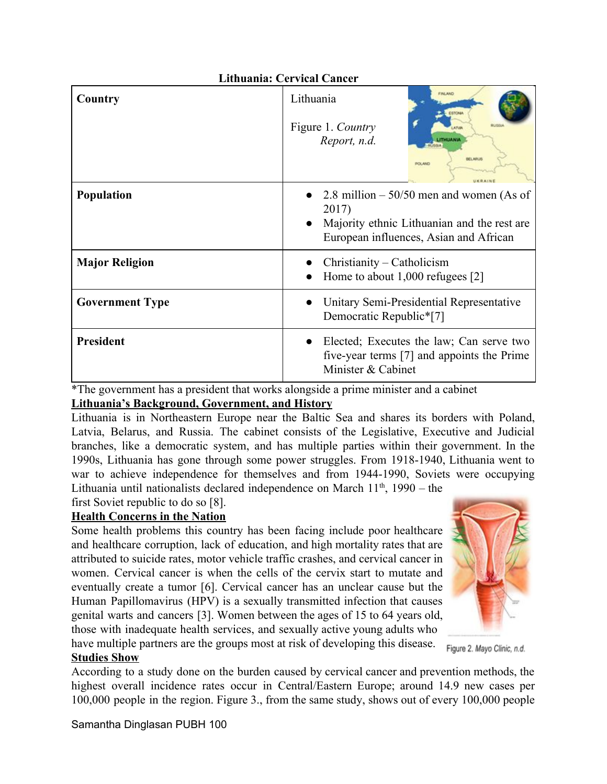| <b>Lithuania: Cervical Cancer</b> |                                                                                                                                                 |
|-----------------------------------|-------------------------------------------------------------------------------------------------------------------------------------------------|
| Country                           | <b>FINLAND</b><br>Lithuania<br>ESTONA<br>Figure 1. Country<br><b>ATUM</b><br>Report, n.d.<br><b>ITHUANIA</b><br>BELARUS<br><b><i>POLAND</i></b> |
| <b>Population</b>                 | 2.8 million $-50/50$ men and women (As of<br>2017)<br>Majority ethnic Lithuanian and the rest are.<br>European influences, Asian and African    |
| <b>Major Religion</b>             | Christianity – Catholicism<br>Home to about 1,000 refugees [2]                                                                                  |
| <b>Government Type</b>            | Unitary Semi-Presidential Representative<br>Democratic Republic*[7]                                                                             |
| <b>President</b>                  | Elected; Executes the law; Can serve two<br>five-year terms [7] and appoints the Prime<br>Minister & Cabinet                                    |

\*The government has a president that works alongside a prime minister and a cabinet

## **Lithuania's Background, Government, and History**

Lithuania is in Northeastern Europe near the Baltic Sea and shares its borders with Poland, Latvia, Belarus, and Russia. The cabinet consists of the Legislative, Executive and Judicial branches, like a democratic system, and has multiple parties within their government. In the 1990s, Lithuania has gone through some power struggles. From 1918-1940, Lithuania went to war to achieve independence for themselves and from 1944-1990, Soviets were occupying Lithuania until nationalists declared independence on March  $11<sup>th</sup>$ , 1990 – the

first Soviet republic to do so [8].

## **Health Concerns in the Nation**

Some health problems this country has been facing include poor healthcare and healthcare corruption, lack of education, and high mortality rates that are attributed to suicide rates, motor vehicle traffic crashes, and cervical cancer in women. Cervical cancer is when the cells of the cervix start to mutate and eventually create a tumor [6]. Cervical cancer has an unclear cause but the Human Papillomavirus (HPV) is a sexually transmitted infection that causes genital warts and cancers [3]. Women between the ages of 15 to 64 years old, those with inadequate health services, and sexually active young adults who have multiple partners are the groups most at risk of developing this disease.



Figure 2. Mayo Clinic, n.d.

# **Studies Show**

According to a study done on the burden caused by cervical cancer and prevention methods, the highest overall incidence rates occur in Central/Eastern Europe; around 14.9 new cases per 100,000 people in the region. Figure 3., from the same study, shows out of every 100,000 people

Samantha Dinglasan PUBH 100